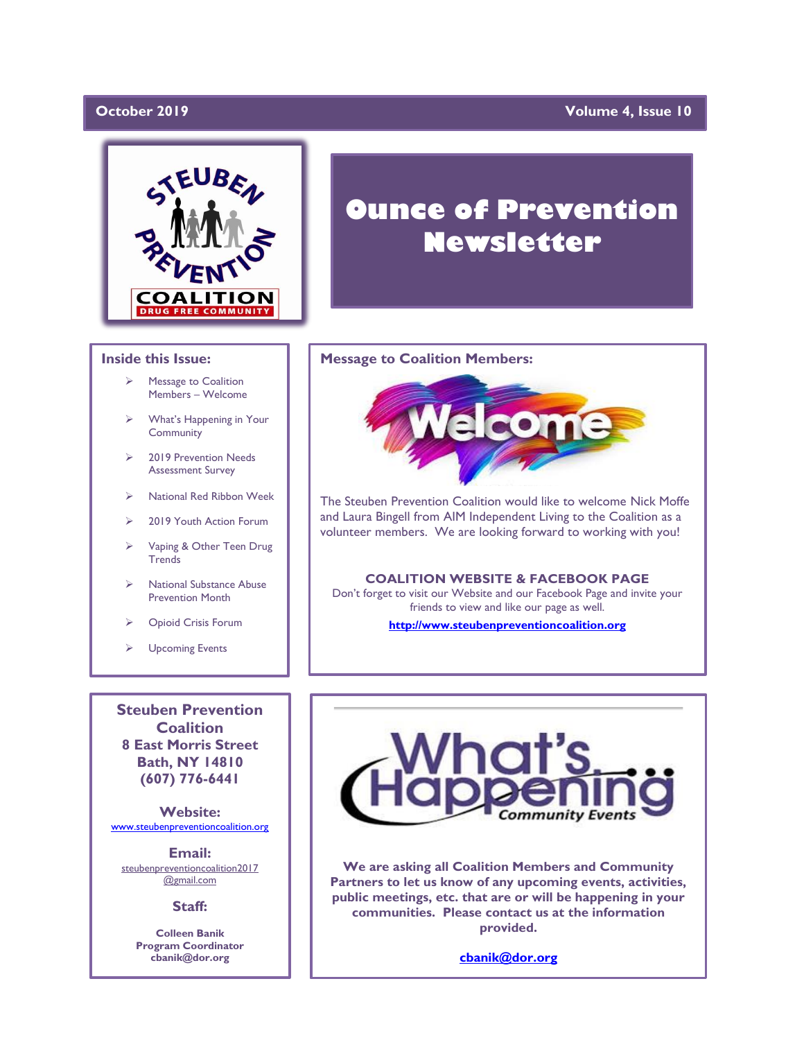## October 2019

### **Volume 4, Issue 10**



### **Inside this Issue:**

- ➢ Message to Coalition Members – Welcome
- ➢ What's Happening in Your **Community**
- ➢ 2019 Prevention Needs Assessment Survey
- ➢ National Red Ribbon Week
- ➢ 2019 Youth Action Forum
- ➢ Vaping & Other Teen Drug **Trends**
- ➢ National Substance Abuse Prevention Month
- ➢ Opioid Crisis Forum
- ➢ Upcoming Events

**Steuben Prevention Coalition 8 East Morris Street Bath, NY 14810 (607) 776-6441**

**Website:**  [www.steubenpreventioncoalition.org](http://www.steubenpreventioncoalition.org/)

**Email:**  steubenpreventioncoalition2017 @gmail.com

**Staff:**

**Colleen Banik Program Coordinator cbanik@dor.org**

# **Ounce of Prevention Newsletter**

### **Message to Coalition Members:**



The Steuben Prevention Coalition would like to welcome Nick Moffe and Laura Bingell from AIM Independent Living to the Coalition as a volunteer members. We are looking forward to working with you!

### **COALITION WEBSITE & FACEBOOK PAGE**

Don't forget to visit our Website and our Facebook Page and invite your friends to view and like our page as well.

### **[http://www.steubenpreventioncoalition.org](http://www.steubenpreventioncoalition.org/)**



**We are asking all Coalition Members and Community Partners to let us know of any upcoming events, activities, public meetings, etc. that are or will be happening in your communities. Please contact us at the information provided.**

**[cbanik@dor.org](mailto:cbanik@dor.org)**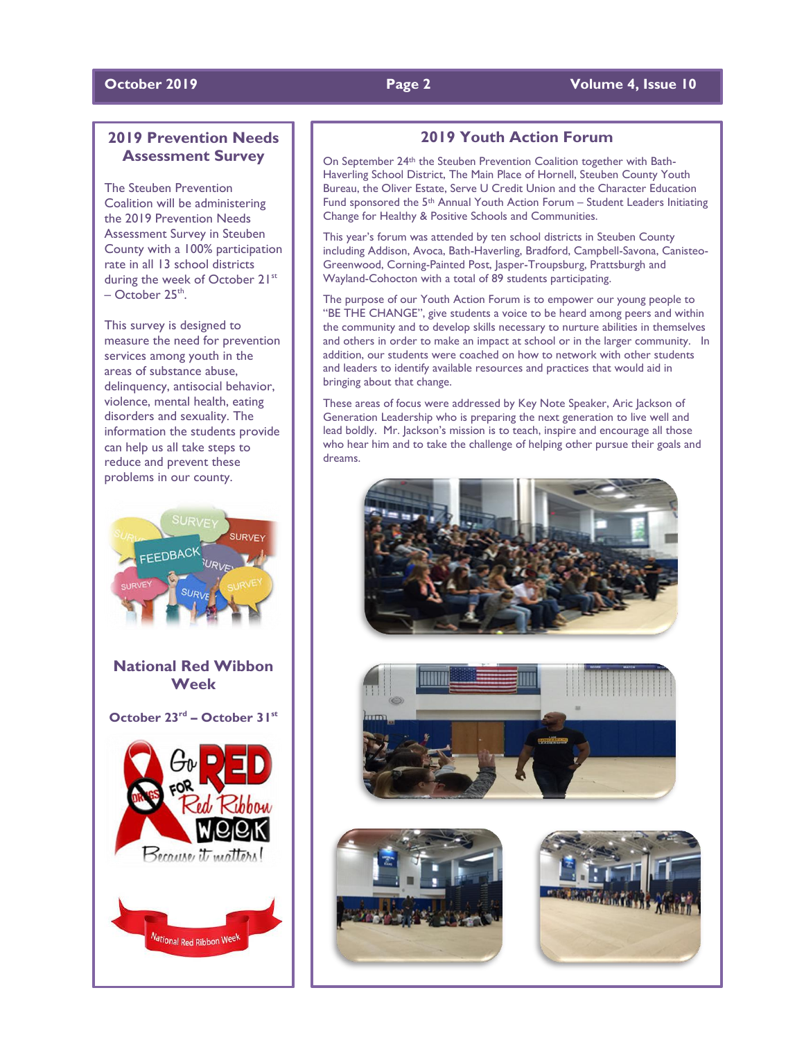### **October 2019 Page 2 Volume 4, Issue 10**

# **2019 Prevention Needs Assessment Survey**

The Steuben Prevention Coalition will be administering the 2019 Prevention Needs Assessment Survey in Steuben County with a 100% participation rate in all 13 school districts during the week of October 21st  $-$  October 25<sup>th</sup>.

This survey is designed to measure the need for prevention services among youth in the areas of substance abuse, delinquency, antisocial behavior, violence, mental health, eating disorders and sexuality. The information the students provide can help us all take steps to reduce and prevent these problems in our county.



**National Red Wibbon Week**

**October 23rd – October 31st**



## **2019 Youth Action Forum**

On September 24th the Steuben Prevention Coalition together with Bath-Haverling School District, The Main Place of Hornell, Steuben County Youth Bureau, the Oliver Estate, Serve U Credit Union and the Character Education Fund sponsored the 5<sup>th</sup> Annual Youth Action Forum – Student Leaders Initiating Change for Healthy & Positive Schools and Communities.

This year's forum was attended by ten school districts in Steuben County including Addison, Avoca, Bath-Haverling, Bradford, Campbell-Savona, Canisteo-Greenwood, Corning-Painted Post, Jasper-Troupsburg, Prattsburgh and Wayland-Cohocton with a total of 89 students participating.

The purpose of our Youth Action Forum is to empower our young people to "BE THE CHANGE", give students a voice to be heard among peers and within the community and to develop skills necessary to nurture abilities in themselves and others in order to make an impact at school or in the larger community. In addition, our students were coached on how to network with other students and leaders to identify available resources and practices that would aid in bringing about that change.

These areas of focus were addressed by Key Note Speaker, Aric Jackson of Generation Leadership who is preparing the next generation to live well and lead boldly. Mr. Jackson's mission is to teach, inspire and encourage all those who hear him and to take the challenge of helping other pursue their goals and dreams.







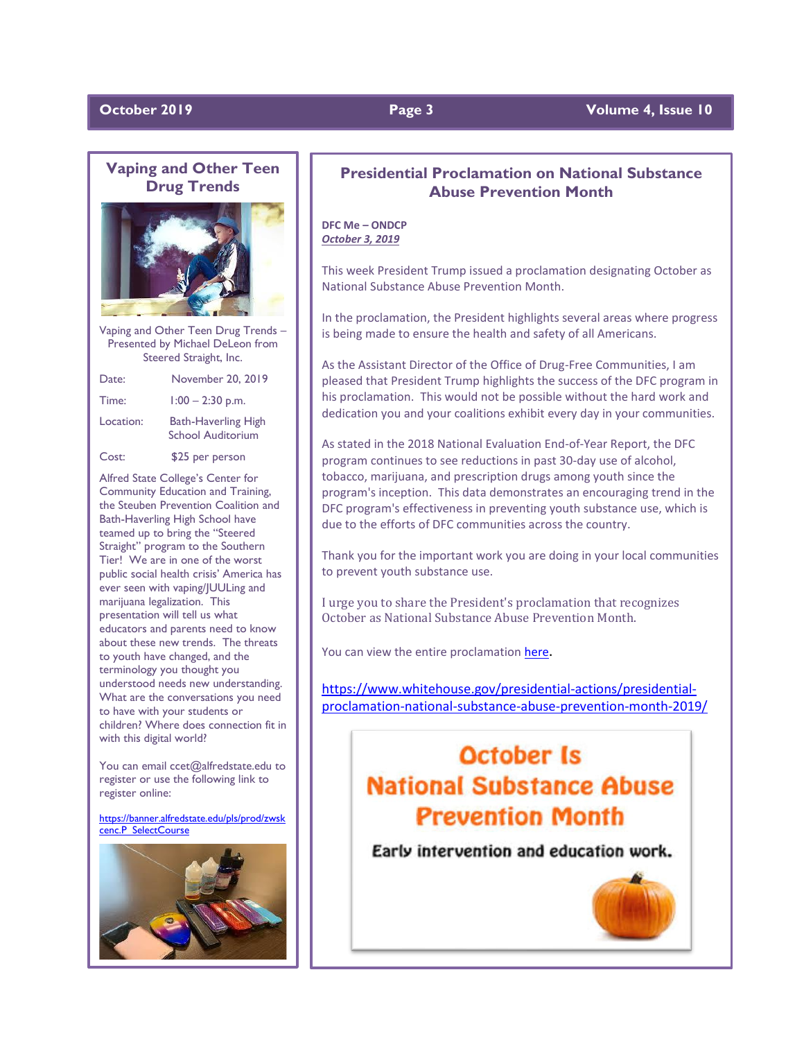## **October 2019 Page 3** Volume 4, Issue 10

# **Vaping and Other Teen Drug Trends**



Vaping and Other Teen Drug Trends – Presented by Michael DeLeon from Steered Straight, Inc.

| Date:     | November 20, 2019                                      |
|-----------|--------------------------------------------------------|
| Time:     | $1:00 - 2:30$ p.m.                                     |
| Location: | <b>Bath-Haverling High</b><br><b>School Auditorium</b> |
| Cost:     | \$25 per person                                        |

Alfred State College's Center for Community Education and Training, the Steuben Prevention Coalition and Bath-Haverling High School have teamed up to bring the "Steered Straight" program to the Southern Tier! We are in one of the worst public social health crisis' America has ever seen with vaping/JUULing and marijuana legalization. This presentation will tell us what educators and parents need to know about these new trends. The threats to youth have changed, and the terminology you thought you understood needs new understanding. What are the conversations you need to have with your students or children? Where does connection fit in with this digital world?

You can email ccet@alfredstate.edu to register or use the following link to register online:

[https://banner.alfredstate.edu/pls/prod/zwsk](https://banner.alfredstate.edu/pls/prod/zwskcenc.P_SelectCourse) [cenc.P\\_SelectCourse](https://banner.alfredstate.edu/pls/prod/zwskcenc.P_SelectCourse)



# **Presidential Proclamation on National Substance Abuse Prevention Month**

**DFC Me – ONDCP** *October 3, 2019*

This week President Trump issued a proclamation designating October as National Substance Abuse Prevention Month.

In the proclamation, the President highlights several areas where progress is being made to ensure the health and safety of all Americans.

As the Assistant Director of the Office of Drug-Free Communities, I am pleased that President Trump highlights the success of the DFC program in his proclamation. This would not be possible without the hard work and dedication you and your coalitions exhibit every day in your communities.

As stated in the 2018 National Evaluation End-of-Year Report, the DFC program continues to see reductions in past 30-day use of alcohol, tobacco, marijuana, and prescription drugs among youth since the program's inception. This data demonstrates an encouraging trend in the DFC program's effectiveness in preventing youth substance use, which is due to the efforts of DFC communities across the country.

Thank you for the important work you are doing in your local communities to prevent youth substance use.

I urge you to share the President's proclamation that recognizes October as National Substance Abuse Prevention Month.

You can view the entire proclamation [here](http://r20.rs6.net/tn.jsp?f=001PUPeqBczfl7IGnuEsBj4JVtrfCEqiCC_Rn_Jq1v_6rZZ8RWOIgqYm4C0Uf-xa8kvtSDrrMitJ2txDprfWumf8g2BlBIgNzqUABxT1uoQMoqA4ZM7WWofco_ngHyuTViEjzAzqq4j3NoCOyQkjCzeu8W42KwvHDrG4x5V6wxUt4J0bjrQ150VgR5aXDFtY2aVKY3wVJJXqqAR4fRBClnepcju3xgPTrvPKgTI9iZn0bvcCt8wKU7q4Kw0W5KqqnqEu64IBo0pEQ-MwpfX21nmfAoXXpqlzBb9Gt1dn53CvCVVTzx-H_2LaA==&c=rVNRnBypEb5YwISJz_NODFpvsiWjP-08-nY8Lb7fCBveeH4-JuOoJQ==&ch=hGiV1Rja9C_aVFW5DN7rwA6US7GR-7GV42glmzYFKHKvavPmqLsiUw==).

[https://www.whitehouse.gov/presidential-actions/presidential](https://www.whitehouse.gov/presidential-actions/presidential-proclamation-national-substance-abuse-prevention-month-2019/)[proclamation-national-substance-abuse-prevention-month-2019/](https://www.whitehouse.gov/presidential-actions/presidential-proclamation-national-substance-abuse-prevention-month-2019/)

# **October Is National Substance Abuse Prevention Month**

Early intervention and education work.